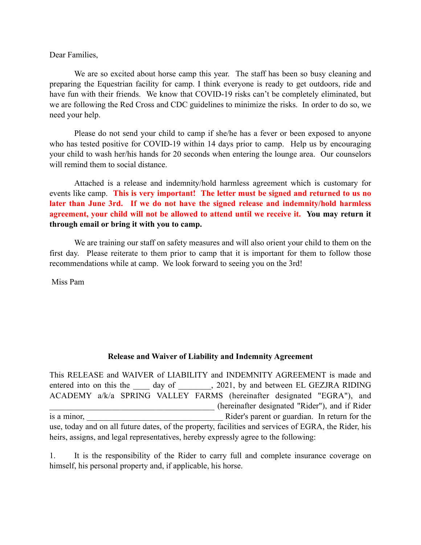Dear Families,

We are so excited about horse camp this year. The staff has been so busy cleaning and preparing the Equestrian facility for camp. I think everyone is ready to get outdoors, ride and have fun with their friends. We know that COVID-19 risks can't be completely eliminated, but we are following the Red Cross and CDC guidelines to minimize the risks. In order to do so, we need your help.

Please do not send your child to camp if she/he has a fever or been exposed to anyone who has tested positive for COVID-19 within 14 days prior to camp. Help us by encouraging your child to wash her/his hands for 20 seconds when entering the lounge area. Our counselors will remind them to social distance.

Attached is a release and indemnity/hold harmless agreement which is customary for events like camp. **This is very important! The letter must be signed and returned to us no later than June 3rd. If we do not have the signed release and indemnity/hold harmless agreement, your child will not be allowed to attend until we receive it. You may return it through email or bring it with you to camp.**

We are training our staff on safety measures and will also orient your child to them on the first day. Please reiterate to them prior to camp that it is important for them to follow those recommendations while at camp. We look forward to seeing you on the 3rd!

Miss Pam

## **Release and Waiver of Liability and Indemnity Agreement**

This RELEASE and WAIVER of LIABILITY and INDEMNITY AGREEMENT is made and entered into on this the day of  $\qquad$ , 2021, by and between EL GEZJRA RIDING ACADEMY a/k/a SPRING VALLEY FARMS (hereinafter designated "EGRA"), and \_\_\_\_\_\_\_\_\_\_\_\_\_\_\_\_\_\_\_\_\_\_\_\_\_\_\_\_\_\_\_\_\_\_\_\_\_\_\_\_ (hereinafter designated "Rider"), and if Rider is a minor, **EXECUTE:** Rider's parent or guardian. In return for the use, today and on all future dates, of the property, facilities and services of EGRA, the Rider, his heirs, assigns, and legal representatives, hereby expressly agree to the following:

1. It is the responsibility of the Rider to carry full and complete insurance coverage on himself, his personal property and, if applicable, his horse.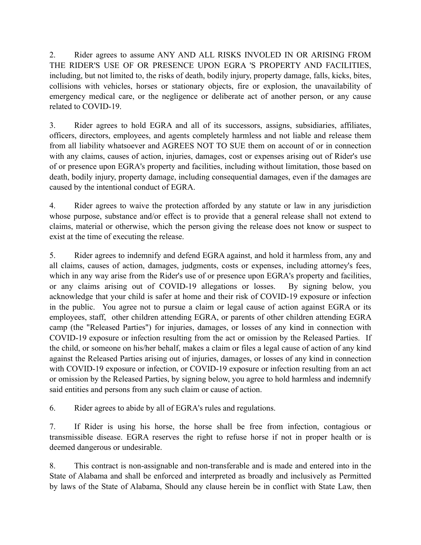2. Rider agrees to assume ANY AND ALL RISKS INVOLED IN OR ARISING FROM THE RIDER'S USE OF OR PRESENCE UPON EGRA 'S PROPERTY AND FACILITIES, including, but not limited to, the risks of death, bodily injury, property damage, falls, kicks, bites, collisions with vehicles, horses or stationary objects, fire or explosion, the unavailability of emergency medical care, or the negligence or deliberate act of another person, or any cause related to COVID-19.

3. Rider agrees to hold EGRA and all of its successors, assigns, subsidiaries, affiliates, officers, directors, employees, and agents completely harmless and not liable and release them from all liability whatsoever and AGREES NOT TO SUE them on account of or in connection with any claims, causes of action, injuries, damages, cost or expenses arising out of Rider's use of or presence upon EGRA's property and facilities, including without limitation, those based on death, bodily injury, property damage, including consequential damages, even if the damages are caused by the intentional conduct of EGRA.

4. Rider agrees to waive the protection afforded by any statute or law in any jurisdiction whose purpose, substance and/or effect is to provide that a general release shall not extend to claims, material or otherwise, which the person giving the release does not know or suspect to exist at the time of executing the release.

5. Rider agrees to indemnify and defend EGRA against, and hold it harmless from, any and all claims, causes of action, damages, judgments, costs or expenses, including attorney's fees, which in any way arise from the Rider's use of or presence upon EGRA's property and facilities, or any claims arising out of COVID-19 allegations or losses. By signing below, you acknowledge that your child is safer at home and their risk of COVID-19 exposure or infection in the public. You agree not to pursue a claim or legal cause of action against EGRA or its employees, staff, other children attending EGRA, or parents of other children attending EGRA camp (the "Released Parties") for injuries, damages, or losses of any kind in connection with COVID-19 exposure or infection resulting from the act or omission by the Released Parties. If the child, or someone on his/her behalf, makes a claim or files a legal cause of action of any kind against the Released Parties arising out of injuries, damages, or losses of any kind in connection with COVID-19 exposure or infection, or COVID-19 exposure or infection resulting from an act or omission by the Released Parties, by signing below, you agree to hold harmless and indemnify said entities and persons from any such claim or cause of action.

6. Rider agrees to abide by all of EGRA's rules and regulations.

7. If Rider is using his horse, the horse shall be free from infection, contagious or transmissible disease. EGRA reserves the right to refuse horse if not in proper health or is deemed dangerous or undesirable.

8. This contract is non-assignable and non-transferable and is made and entered into in the State of Alabama and shall be enforced and interpreted as broadly and inclusively as Permitted by laws of the State of Alabama, Should any clause herein be in conflict with State Law, then